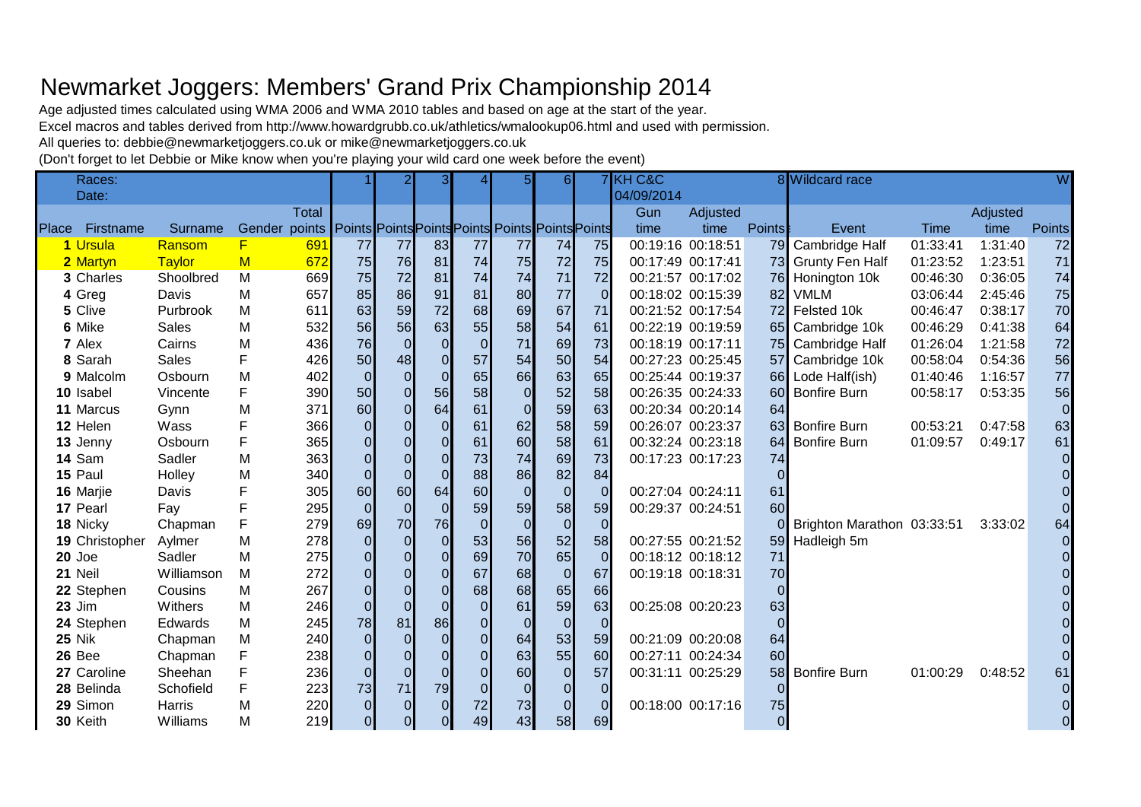## Newmarket Joggers: Members' Grand Prix Championship 2014

Age adjusted times calculated using WMA 2006 and WMA 2010 tables and based on age at the start of the year.

Excel macros and tables derived from http://www.howardgrubb.co.uk/athletics/wmalookup06.html and used with permission.

All queries to: debbie@newmarketjoggers.co.uk or mike@newmarketjoggers.co.uk

(Don't forget to let Debbie or Mike know when you're playing your wild card one week before the event)

| Races:          |              |               |              |                |                | 31             |                | 5 <sub>l</sub>                                   | 61             |                | <b>7 KH C&amp;C</b> |                   |                | 8 Wildcard race            |             |          | W              |
|-----------------|--------------|---------------|--------------|----------------|----------------|----------------|----------------|--------------------------------------------------|----------------|----------------|---------------------|-------------------|----------------|----------------------------|-------------|----------|----------------|
| Date:           |              |               |              |                |                |                |                |                                                  |                |                | 04/09/2014          |                   |                |                            |             |          |                |
|                 |              |               | <b>Total</b> |                |                |                |                |                                                  |                |                | Gun                 | Adjusted          |                |                            |             | Adjusted |                |
| Place Firstname | Surname      | Gender points |              |                |                |                |                | Points Points Points Points Points Points Points |                |                | time                | time              | <b>Points</b>  | Event                      | <b>Time</b> | time     | <b>Points</b>  |
| 1 Ursula        | Ransom       | F             | 691          | 77             | 77             | 83             | 77             | 77                                               | 74             | 75             |                     | 00:19:16 00:18:51 | 79             | Cambridge Half             | 01:33:41    | 1:31:40  | 72             |
| 2 Martyn        | Taylor       | M             | 672          | 75             | 76             | 81             | 74             | 75                                               | 72             | 75             |                     | 00:17:49 00:17:41 | 73             | <b>Grunty Fen Half</b>     | 01:23:52    | 1:23:51  | 71             |
| 3 Charles       | Shoolbred    | M             | 669          | 75             | 72             | 81             | 74             | 74                                               | 71             | 72             |                     | 00:21:57 00:17:02 | 76             | Honington 10k              | 00:46:30    | 0:36:05  | 74             |
| 4 Greg          | Davis        | М             | 657          | 85             | 86             | 91             | 81             | 80                                               | 77             | $\Omega$       |                     | 00:18:02 00:15:39 | 82             | <b>VMLM</b>                | 03:06:44    | 2:45:46  | 75             |
| 5 Clive         | Purbrook     | M             | 611          | 63             | 59             | 72             | 68             | 69                                               | 67             | 71             |                     | 00:21:52 00:17:54 | 72             | Felsted 10k                | 00:46:47    | 0:38:17  | 70             |
| 6 Mike          | <b>Sales</b> | М             | 532          | 56             | 56             | 63             | 55             | 58                                               | 54             | 61             |                     | 00:22:19 00:19:59 | <b>65</b>      | Cambridge 10k              | 00:46:29    | 0:41:38  | 64             |
| 7 Alex          | Cairns       | M             | 436          | 76             | $\overline{0}$ | $\Omega$       | $\Omega$       | 71                                               | 69             | 73             |                     | 00:18:19 00:17:11 |                | 75 Cambridge Half          | 01:26:04    | 1:21:58  | 72             |
| 8 Sarah         | <b>Sales</b> | F             | 426          | 50             | 48             | $\Omega$       | 57             | 54                                               | 50             | 54             |                     | 00:27:23 00:25:45 | 57             | Cambridge 10k              | 00:58:04    | 0:54:36  | 56             |
| 9 Malcolm       | Osbourn      | M             | 402          | $\overline{0}$ | $\overline{0}$ | $\overline{0}$ | 65             | 66                                               | 63             | 65             |                     | 00:25:44 00:19:37 |                | 66 Lode Half(ish)          | 01:40:46    | 1:16:57  | 77             |
| 10 Isabel       | Vincente     | F             | 390          | 50             | $\overline{O}$ | 56             | 58             | $\overline{0}$                                   | 52             | 58             |                     | 00:26:35 00:24:33 | 60             | <b>Bonfire Burn</b>        | 00:58:17    | 0:53:35  | 56             |
| 11 Marcus       | Gynn         | M             | 371          | 60             | $\overline{O}$ | 64             | 61             | $\Omega$                                         | 59             | 63             |                     | 00:20:34 00:20:14 | 64             |                            |             |          | $\overline{0}$ |
| 12 Helen        | Wass         | F             | 366          | $\overline{O}$ | $\overline{0}$ | $\overline{0}$ | 61             | 62                                               | 58             | 59             |                     | 00:26:07 00:23:37 | 63             | <b>Bonfire Burn</b>        | 00:53:21    | 0:47:58  | 63             |
| 13 Jenny        | Osbourn      | F             | 365          | $\overline{O}$ |                | $\Omega$       | 61             | 60                                               | 58             | 61             |                     | 00:32:24 00:23:18 | 64             | <b>Bonfire Burn</b>        | 01:09:57    | 0:49:17  | 61             |
| 14 Sam          | Sadler       | M             | 363          | $\overline{0}$ |                | $\overline{0}$ | 73             | 74                                               | 69             | 73             |                     | 00:17:23 00:17:23 | 74             |                            |             |          | 0              |
| 15 Paul         | Holley       | M             | 340          | $\overline{0}$ | $\overline{0}$ | $\Omega$       | 88             | 86                                               | 82             | 84             |                     |                   | $\mathbf 0$    |                            |             |          | $\overline{0}$ |
| 16 Marjie       | Davis        | F             | 305          | 60             | 60             | 64             | 60             | $\Omega$                                         | $\Omega$       | $\Omega$       |                     | 00:27:04 00:24:11 | 61             |                            |             |          |                |
| 17 Pearl        | Fay          | F             | 295          | $\Omega$       | $\Omega$       | $\Omega$       | 59             | 59                                               | 58             | 59             |                     | 00:29:37 00:24:51 | 60             |                            |             |          | $\Omega$       |
| 18 Nicky        | Chapman      | F             | 279          | 69             | 70             | 76             | $\overline{0}$ | $\overline{0}$                                   | $\overline{0}$ | $\overline{0}$ |                     |                   |                | Brighton Marathon 03:33:51 |             | 3:33:02  | 64             |
| 19 Christopher  | Aylmer       | M             | 278          | $\overline{0}$ | $\overline{O}$ | $\overline{0}$ | 53             | 56                                               | 52             | 58             |                     | 00:27:55 00:21:52 | 59             | Hadleigh 5m                |             |          | 0              |
| $20$ Joe        | Sadler       | M             | 275          | $\overline{0}$ | $\overline{0}$ | $\overline{0}$ | 69             | 70                                               | 65             | $\Omega$       |                     | 00:18:12 00:18:12 | 71             |                            |             |          | $\Omega$       |
| 21 Neil         | Williamson   | M             | 272          | $\overline{O}$ | $\overline{O}$ | $\overline{O}$ | 67             | 68                                               | $\overline{0}$ | 67             |                     | 00:19:18 00:18:31 | 70             |                            |             |          |                |
| 22 Stephen      | Cousins      | М             | 267          | $\overline{O}$ | $\Omega$       | $\overline{O}$ | 68             | 68                                               | 65             | 66             |                     |                   | $\Omega$       |                            |             |          |                |
| <b>23 Jim</b>   | Withers      | M             | 246          | $\overline{0}$ |                | $\overline{0}$ | $\overline{0}$ | 61                                               | 59             | 63             |                     | 00:25:08 00:20:23 | 63             |                            |             |          |                |
| 24 Stephen      | Edwards      | M             | 245          | 78             | 81             | 86             | $\overline{O}$ |                                                  | $\Omega$       | $\Omega$       |                     |                   | $\overline{0}$ |                            |             |          | $\Omega$       |
| <b>25 Nik</b>   | Chapman      | M             | 240          | $\overline{0}$ | $\overline{0}$ | $\Omega$       | $\overline{0}$ | 64                                               | 53             | 59             |                     | 00:21:09 00:20:08 | 64             |                            |             |          | $\overline{0}$ |
| 26 Bee          | Chapman      | F             | 238          | $\overline{O}$ | $\overline{0}$ | $\Omega$       | $\overline{0}$ | 63                                               | 55             | 60             |                     | 00:27:11 00:24:34 | 60             |                            |             |          | $\Omega$       |
| 27 Caroline     | Sheehan      | F             | 236          | $\overline{0}$ | $\overline{0}$ |                | $\overline{0}$ | 60                                               | $\overline{O}$ | 57             |                     | 00:31:11 00:25:29 | 58             | <b>Bonfire Burn</b>        | 01:00:29    | 0:48:52  | 61             |
| 28 Belinda      | Schofield    | F             | 223          | 73             | 71             | 79             | $\overline{0}$ | $\Omega$                                         | $\Omega$       | $\overline{0}$ |                     |                   | $\Omega$       |                            |             |          | 0              |
| 29 Simon        | Harris       | M             | 220          | $\Omega$       | $\Omega$       | $\Omega$       | 72             | 73                                               | $\Omega$       | $\Omega$       |                     | 00:18:00 00:17:16 | 75             |                            |             |          |                |
| 30 Keith        | Williams     | м             | 219          | 01             | $\overline{0}$ | 0l             | 49             | 43                                               | 58             | 69             |                     |                   | $\Omega$       |                            |             |          | $\overline{0}$ |